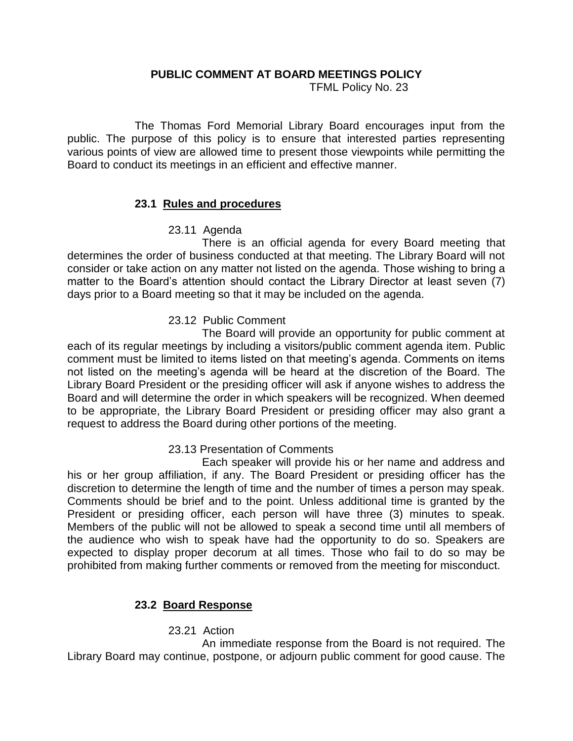## **PUBLIC COMMENT AT BOARD MEETINGS POLICY**

TFML Policy No. 23

The Thomas Ford Memorial Library Board encourages input from the public. The purpose of this policy is to ensure that interested parties representing various points of view are allowed time to present those viewpoints while permitting the Board to conduct its meetings in an efficient and effective manner.

# **23.1 Rules and procedures**

# 23.11 Agenda

There is an official agenda for every Board meeting that determines the order of business conducted at that meeting. The Library Board will not consider or take action on any matter not listed on the agenda. Those wishing to bring a matter to the Board's attention should contact the Library Director at least seven (7) days prior to a Board meeting so that it may be included on the agenda.

# 23.12 Public Comment

The Board will provide an opportunity for public comment at each of its regular meetings by including a visitors/public comment agenda item. Public comment must be limited to items listed on that meeting's agenda. Comments on items not listed on the meeting's agenda will be heard at the discretion of the Board. The Library Board President or the presiding officer will ask if anyone wishes to address the Board and will determine the order in which speakers will be recognized. When deemed to be appropriate, the Library Board President or presiding officer may also grant a request to address the Board during other portions of the meeting.

#### 23.13 Presentation of Comments

Each speaker will provide his or her name and address and his or her group affiliation, if any. The Board President or presiding officer has the discretion to determine the length of time and the number of times a person may speak. Comments should be brief and to the point. Unless additional time is granted by the President or presiding officer, each person will have three (3) minutes to speak. Members of the public will not be allowed to speak a second time until all members of the audience who wish to speak have had the opportunity to do so. Speakers are expected to display proper decorum at all times. Those who fail to do so may be prohibited from making further comments or removed from the meeting for misconduct.

# **23.2 Board Response**

23.21 Action

An immediate response from the Board is not required. The Library Board may continue, postpone, or adjourn public comment for good cause. The